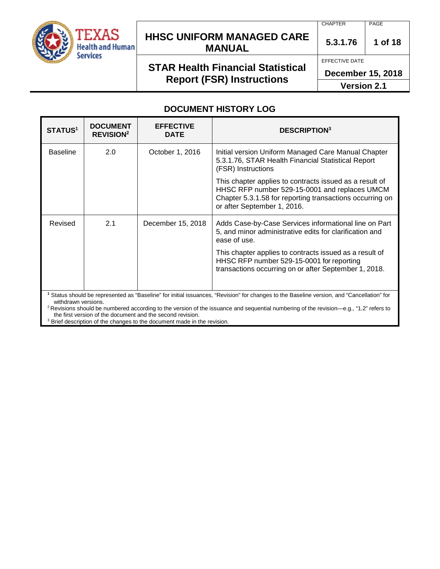

## **HHSC UNIFORM MANAGED CARE MANUAL 5.3.1.76 <sup>1</sup> of 18**

# **STAR Health Financial Statistical Report (FSR) Instructions**

CHAPTER PAGE

EFFECTIVE DATE

**December 15, 2018**

**Version 2.1**

### **DOCUMENT HISTORY LOG**

| <b>STATUS<sup>1</sup></b> | <b>DOCUMENT</b><br><b>REVISION<sup>2</sup></b> | <b>EFFECTIVE</b><br><b>DATE</b>                            | <b>DESCRIPTION3</b>                                                                                                                                                                                                                                                                                        |  |
|---------------------------|------------------------------------------------|------------------------------------------------------------|------------------------------------------------------------------------------------------------------------------------------------------------------------------------------------------------------------------------------------------------------------------------------------------------------------|--|
| <b>Baseline</b>           | 2.0                                            | October 1, 2016                                            | Initial version Uniform Managed Care Manual Chapter<br>5.3.1.76, STAR Health Financial Statistical Report<br>(FSR) Instructions                                                                                                                                                                            |  |
|                           |                                                |                                                            | This chapter applies to contracts issued as a result of<br>HHSC RFP number 529-15-0001 and replaces UMCM<br>Chapter 5.3.1.58 for reporting transactions occurring on<br>or after September 1, 2016.                                                                                                        |  |
| Revised                   | 2.1                                            | December 15, 2018                                          | Adds Case-by-Case Services informational line on Part<br>5, and minor administrative edits for clarification and<br>ease of use.                                                                                                                                                                           |  |
|                           |                                                |                                                            | This chapter applies to contracts issued as a result of<br>HHSC RFP number 529-15-0001 for reporting<br>transactions occurring on or after September 1, 2018.                                                                                                                                              |  |
| withdrawn versions.       |                                                | the first version of the document and the second revision. | <sup>1</sup> Status should be represented as "Baseline" for initial issuances, "Revision" for changes to the Baseline version, and "Cancellation" for<br><sup>2</sup> Revisions should be numbered according to the version of the issuance and sequential numbering of the revision—e.g., "1.2" refers to |  |

 $3$  Brief description of the changes to the document made in the revision.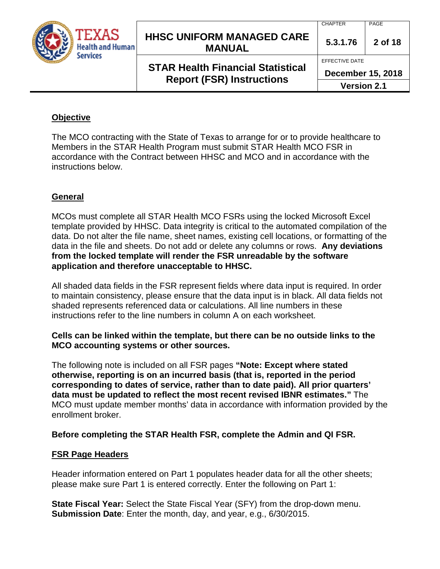

## **HHSC UNIFORM MANAGED CARE MANUAL 5.3.1.76 <sup>2</sup> of 18**

# **STAR Health Financial Statistical Report (FSR) Instructions**

CHAPTER PAGE

EFFECTIVE DATE

**December 15, 2018**

**Version 2.1**

### **Objective**

The MCO contracting with the State of Texas to arrange for or to provide healthcare to Members in the STAR Health Program must submit STAR Health MCO FSR in accordance with the Contract between HHSC and MCO and in accordance with the instructions below.

### **General**

MCOs must complete all STAR Health MCO FSRs using the locked Microsoft Excel template provided by HHSC. Data integrity is critical to the automated compilation of the data. Do not alter the file name, sheet names, existing cell locations, or formatting of the data in the file and sheets. Do not add or delete any columns or rows. **Any deviations from the locked template will render the FSR unreadable by the software application and therefore unacceptable to HHSC.**

All shaded data fields in the FSR represent fields where data input is required. In order to maintain consistency, please ensure that the data input is in black. All data fields not shaded represents referenced data or calculations. All line numbers in these instructions refer to the line numbers in column A on each worksheet.

#### **Cells can be linked within the template, but there can be no outside links to the MCO accounting systems or other sources.**

The following note is included on all FSR pages **"Note: Except where stated otherwise, reporting is on an incurred basis (that is, reported in the period corresponding to dates of service, rather than to date paid). All prior quarters' data must be updated to reflect the most recent revised IBNR estimates."** The MCO must update member months' data in accordance with information provided by the enrollment broker.

#### **Before completing the STAR Health FSR, complete the Admin and QI FSR.**

#### **FSR Page Headers**

Header information entered on Part 1 populates header data for all the other sheets; please make sure Part 1 is entered correctly. Enter the following on Part 1:

**State Fiscal Year:** Select the State Fiscal Year (SFY) from the drop-down menu. **Submission Date**: Enter the month, day, and year, e.g., 6/30/2015.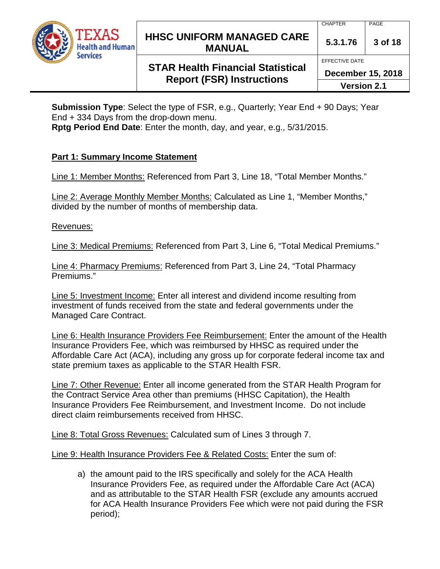

## **HHSC UNIFORM MANAGED CARE MANUAL 5.3.1.76 <sup>3</sup> of 18**

**STAR Health Financial Statistical Report (FSR) Instructions**

EFFECTIVE DATE

**December 15, 2018**

**Version 2.1**

**Submission Type**: Select the type of FSR, e.g., Quarterly; Year End + 90 Days; Year End + 334 Days from the drop-down menu.

**Rptg Period End Date**: Enter the month, day, and year, e.g., 5/31/2015.

### **Part 1: Summary Income Statement**

Line 1: Member Months: Referenced from Part 3, Line 18, "Total Member Months."

Line 2: Average Monthly Member Months: Calculated as Line 1, "Member Months," divided by the number of months of membership data.

Revenues:

Line 3: Medical Premiums: Referenced from Part 3, Line 6, "Total Medical Premiums."

Line 4: Pharmacy Premiums: Referenced from Part 3, Line 24, "Total Pharmacy Premiums."

Line 5: Investment Income: Enter all interest and dividend income resulting from investment of funds received from the state and federal governments under the Managed Care Contract.

Line 6: Health Insurance Providers Fee Reimbursement: Enter the amount of the Health Insurance Providers Fee, which was reimbursed by HHSC as required under the Affordable Care Act (ACA), including any gross up for corporate federal income tax and state premium taxes as applicable to the STAR Health FSR.

Line 7: Other Revenue: Enter all income generated from the STAR Health Program for the Contract Service Area other than premiums (HHSC Capitation), the Health Insurance Providers Fee Reimbursement, and Investment Income. Do not include direct claim reimbursements received from HHSC.

Line 8: Total Gross Revenues: Calculated sum of Lines 3 through 7.

Line 9: Health Insurance Providers Fee & Related Costs: Enter the sum of:

a) the amount paid to the IRS specifically and solely for the ACA Health Insurance Providers Fee, as required under the Affordable Care Act (ACA) and as attributable to the STAR Health FSR (exclude any amounts accrued for ACA Health Insurance Providers Fee which were not paid during the FSR period);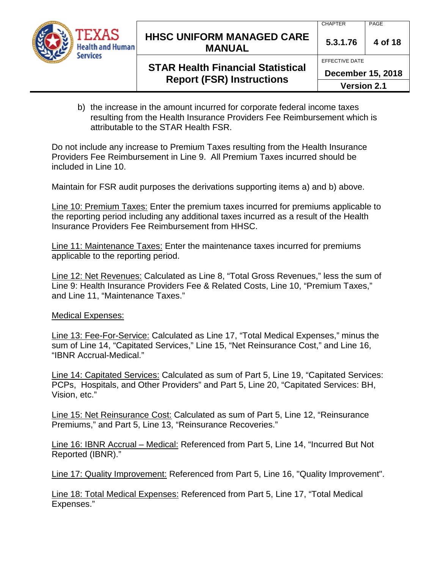

# **HHSC UNIFORM MANAGED CARE MANUAL 5.3.1.76 <sup>4</sup> of 18**

EFFECTIVE DATE

### **STAR Health Financial Statistical Report (FSR) Instructions**

**December 15, 2018**

- **Version 2.1**
- b) the increase in the amount incurred for corporate federal income taxes resulting from the Health Insurance Providers Fee Reimbursement which is attributable to the STAR Health FSR.

Do not include any increase to Premium Taxes resulting from the Health Insurance Providers Fee Reimbursement in Line 9. All Premium Taxes incurred should be included in Line 10.

Maintain for FSR audit purposes the derivations supporting items a) and b) above.

Line 10: Premium Taxes: Enter the premium taxes incurred for premiums applicable to the reporting period including any additional taxes incurred as a result of the Health Insurance Providers Fee Reimbursement from HHSC.

Line 11: Maintenance Taxes: Enter the maintenance taxes incurred for premiums applicable to the reporting period.

Line 12: Net Revenues: Calculated as Line 8, "Total Gross Revenues," less the sum of Line 9: Health Insurance Providers Fee & Related Costs, Line 10, "Premium Taxes," and Line 11, "Maintenance Taxes."

Medical Expenses:

Line 13: Fee-For-Service: Calculated as Line 17, "Total Medical Expenses," minus the sum of Line 14, "Capitated Services," Line 15, "Net Reinsurance Cost," and Line 16, "IBNR Accrual-Medical."

Line 14: Capitated Services: Calculated as sum of Part 5, Line 19, "Capitated Services: PCPs, Hospitals, and Other Providers" and Part 5, Line 20, "Capitated Services: BH, Vision, etc."

Line 15: Net Reinsurance Cost: Calculated as sum of Part 5, Line 12, "Reinsurance Premiums," and Part 5, Line 13, "Reinsurance Recoveries."

Line 16: IBNR Accrual – Medical: Referenced from Part 5, Line 14, "Incurred But Not Reported (IBNR)."

Line 17: Quality Improvement: Referenced from Part 5, Line 16, "Quality Improvement".

Line 18: Total Medical Expenses: Referenced from Part 5, Line 17, "Total Medical Expenses."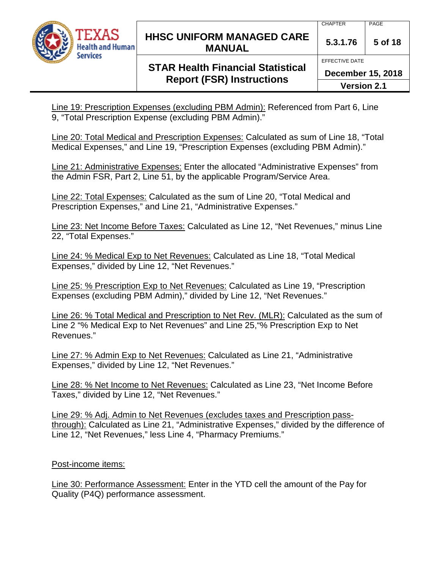

## **HHSC UNIFORM MANAGED CARE MANUAL 5.3.1.76 <sup>5</sup> of 18**

# **STAR Health Financial Statistical Report (FSR) Instructions**

Line 19: Prescription Expenses (excluding PBM Admin): Referenced from Part 6, Line 9, "Total Prescription Expense (excluding PBM Admin)."

Line 20: Total Medical and Prescription Expenses: Calculated as sum of Line 18, "Total Medical Expenses," and Line 19, "Prescription Expenses (excluding PBM Admin)."

Line 21: Administrative Expenses: Enter the allocated "Administrative Expenses" from the Admin FSR, Part 2, Line 51, by the applicable Program/Service Area.

Line 22: Total Expenses: Calculated as the sum of Line 20, "Total Medical and Prescription Expenses," and Line 21, "Administrative Expenses."

Line 23: Net Income Before Taxes: Calculated as Line 12, "Net Revenues," minus Line 22, "Total Expenses."

Line 24: % Medical Exp to Net Revenues: Calculated as Line 18, "Total Medical Expenses," divided by Line 12, "Net Revenues."

Line 25: % Prescription Exp to Net Revenues: Calculated as Line 19, "Prescription Expenses (excluding PBM Admin)," divided by Line 12, "Net Revenues."

Line 26: % Total Medical and Prescription to Net Rev. (MLR): Calculated as the sum of Line 2 "% Medical Exp to Net Revenues" and Line 25,"% Prescription Exp to Net Revenues."

Line 27: % Admin Exp to Net Revenues: Calculated as Line 21, "Administrative Expenses," divided by Line 12, "Net Revenues."

Line 28: % Net Income to Net Revenues: Calculated as Line 23, "Net Income Before Taxes," divided by Line 12, "Net Revenues."

Line 29: % Adj. Admin to Net Revenues (excludes taxes and Prescription passthrough): Calculated as Line 21, "Administrative Expenses," divided by the difference of Line 12, "Net Revenues," less Line 4, "Pharmacy Premiums."

#### Post-income items:

Line 30: Performance Assessment: Enter in the YTD cell the amount of the Pay for Quality (P4Q) performance assessment.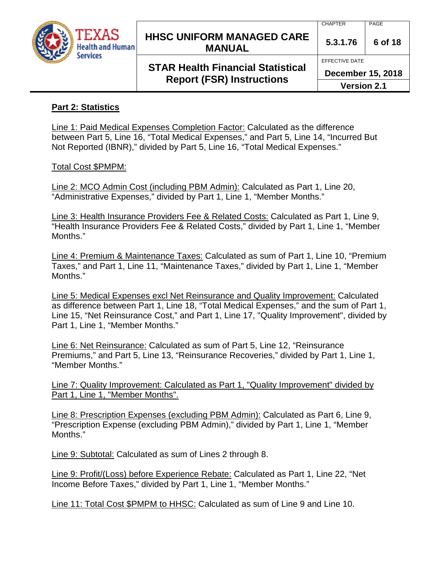

## **HHSC UNIFORM MANAGED CARE MANUAL 5.3.1.76** 6 of 18

## **STAR Health Financial Statistical Report (FSR) Instructions**

CHAPTER PAGE

EFFECTIVE DATE

**December 15, 2018**

**Version 2.1**

### **Part 2: Statistics**

Line 1: Paid Medical Expenses Completion Factor: Calculated as the difference between Part 5, Line 16, "Total Medical Expenses," and Part 5, Line 14, "Incurred But Not Reported (IBNR)," divided by Part 5, Line 16, "Total Medical Expenses."

#### Total Cost \$PMPM:

Line 2: MCO Admin Cost (including PBM Admin): Calculated as Part 1, Line 20, "Administrative Expenses," divided by Part 1, Line 1, "Member Months."

Line 3: Health Insurance Providers Fee & Related Costs: Calculated as Part 1, Line 9, "Health Insurance Providers Fee & Related Costs," divided by Part 1, Line 1, "Member Months."

Line 4: Premium & Maintenance Taxes: Calculated as sum of Part 1, Line 10, "Premium Taxes," and Part 1, Line 11, "Maintenance Taxes," divided by Part 1, Line 1, "Member Months."

Line 5: Medical Expenses excl Net Reinsurance and Quality Improvement: Calculated as difference between Part 1, Line 18, "Total Medical Expenses," and the sum of Part 1, Line 15, "Net Reinsurance Cost," and Part 1, Line 17, "Quality Improvement", divided by Part 1, Line 1, "Member Months."

Line 6: Net Reinsurance: Calculated as sum of Part 5, Line 12, "Reinsurance Premiums," and Part 5, Line 13, "Reinsurance Recoveries," divided by Part 1, Line 1, "Member Months."

Line 7: Quality Improvement: Calculated as Part 1, "Quality Improvement" divided by Part 1, Line 1, "Member Months".

Line 8: Prescription Expenses (excluding PBM Admin): Calculated as Part 6, Line 9, "Prescription Expense (excluding PBM Admin)," divided by Part 1, Line 1, "Member Months."

Line 9: Subtotal: Calculated as sum of Lines 2 through 8.

Line 9: Profit/(Loss) before Experience Rebate: Calculated as Part 1, Line 22, "Net Income Before Taxes," divided by Part 1, Line 1, "Member Months."

Line 11: Total Cost \$PMPM to HHSC: Calculated as sum of Line 9 and Line 10.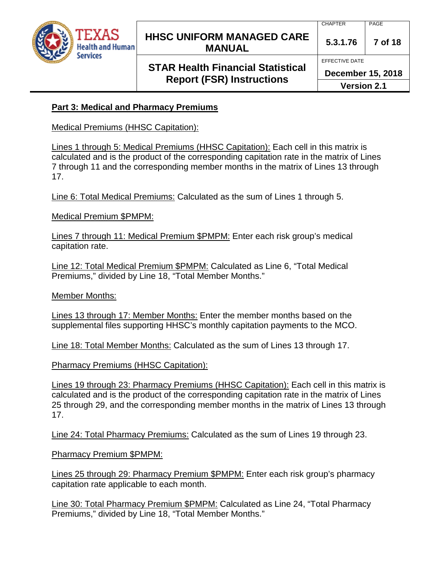

## **HHSC UNIFORM MANAGED CARE MANUAL 5.3.1.76 <sup>7</sup> of 18**

# **STAR Health Financial Statistical Report (FSR) Instructions**

CHAPTER PAGE

EFFECTIVE DATE

**December 15, 2018**

**Version 2.1**

### **Part 3: Medical and Pharmacy Premiums**

Medical Premiums (HHSC Capitation):

Lines 1 through 5: Medical Premiums (HHSC Capitation): Each cell in this matrix is calculated and is the product of the corresponding capitation rate in the matrix of Lines 7 through 11 and the corresponding member months in the matrix of Lines 13 through 17.

Line 6: Total Medical Premiums: Calculated as the sum of Lines 1 through 5.

Medical Premium \$PMPM:

Lines 7 through 11: Medical Premium \$PMPM: Enter each risk group's medical capitation rate.

Line 12: Total Medical Premium \$PMPM: Calculated as Line 6, "Total Medical Premiums," divided by Line 18, "Total Member Months."

Member Months:

Lines 13 through 17: Member Months: Enter the member months based on the supplemental files supporting HHSC's monthly capitation payments to the MCO.

Line 18: Total Member Months: Calculated as the sum of Lines 13 through 17.

Pharmacy Premiums (HHSC Capitation):

Lines 19 through 23: Pharmacy Premiums (HHSC Capitation): Each cell in this matrix is calculated and is the product of the corresponding capitation rate in the matrix of Lines 25 through 29, and the corresponding member months in the matrix of Lines 13 through 17.

Line 24: Total Pharmacy Premiums: Calculated as the sum of Lines 19 through 23.

Pharmacy Premium \$PMPM:

Lines 25 through 29: Pharmacy Premium \$PMPM: Enter each risk group's pharmacy capitation rate applicable to each month.

Line 30: Total Pharmacy Premium \$PMPM: Calculated as Line 24, "Total Pharmacy Premiums," divided by Line 18, "Total Member Months."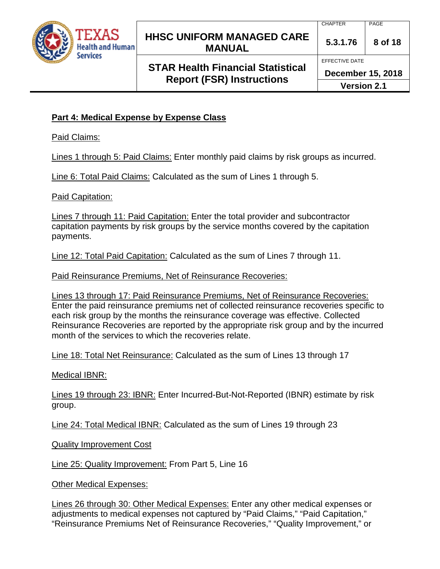

## **HHSC UNIFORM MANAGED CARE MANUAL 5.3.1.76 <sup>8</sup> of 18**

# **STAR Health Financial Statistical Report (FSR) Instructions**

EFFECTIVE DATE

**December 15, 2018**

**Version 2.1**

### **Part 4: Medical Expense by Expense Class**

Paid Claims:

Lines 1 through 5: Paid Claims: Enter monthly paid claims by risk groups as incurred.

Line 6: Total Paid Claims: Calculated as the sum of Lines 1 through 5.

Paid Capitation:

Lines 7 through 11: Paid Capitation: Enter the total provider and subcontractor capitation payments by risk groups by the service months covered by the capitation payments.

Line 12: Total Paid Capitation: Calculated as the sum of Lines 7 through 11.

Paid Reinsurance Premiums, Net of Reinsurance Recoveries:

Lines 13 through 17: Paid Reinsurance Premiums, Net of Reinsurance Recoveries: Enter the paid reinsurance premiums net of collected reinsurance recoveries specific to each risk group by the months the reinsurance coverage was effective. Collected Reinsurance Recoveries are reported by the appropriate risk group and by the incurred month of the services to which the recoveries relate.

Line 18: Total Net Reinsurance: Calculated as the sum of Lines 13 through 17

Medical IBNR:

Lines 19 through 23: IBNR: Enter Incurred-But-Not-Reported (IBNR) estimate by risk group.

Line 24: Total Medical IBNR: Calculated as the sum of Lines 19 through 23

Quality Improvement Cost

Line 25: Quality Improvement: From Part 5, Line 16

Other Medical Expenses:

Lines 26 through 30: Other Medical Expenses: Enter any other medical expenses or adjustments to medical expenses not captured by "Paid Claims," "Paid Capitation," "Reinsurance Premiums Net of Reinsurance Recoveries," "Quality Improvement," or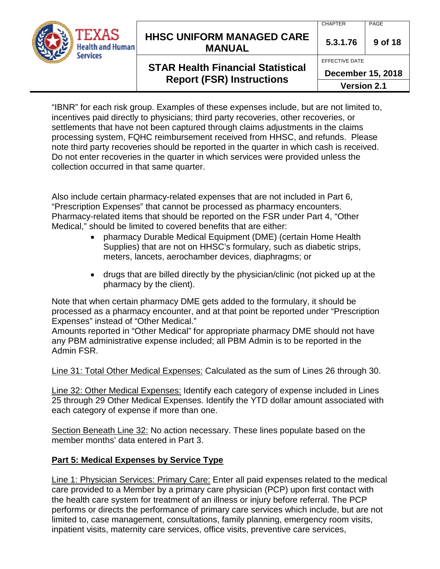

"IBNR" for each risk group. Examples of these expenses include, but are not limited to, incentives paid directly to physicians; third party recoveries, other recoveries, or settlements that have not been captured through claims adjustments in the claims processing system, FQHC reimbursement received from HHSC, and refunds. Please note third party recoveries should be reported in the quarter in which cash is received. Do not enter recoveries in the quarter in which services were provided unless the collection occurred in that same quarter.

Also include certain pharmacy-related expenses that are not included in Part 6, "Prescription Expenses" that cannot be processed as pharmacy encounters. Pharmacy-related items that should be reported on the FSR under Part 4, "Other Medical," should be limited to covered benefits that are either:

- pharmacy Durable Medical Equipment (DME) (certain Home Health Supplies) that are not on HHSC's formulary, such as diabetic strips, meters, lancets, aerochamber devices, diaphragms; or
- drugs that are billed directly by the physician/clinic (not picked up at the pharmacy by the client).

Note that when certain pharmacy DME gets added to the formulary, it should be processed as a pharmacy encounter, and at that point be reported under "Prescription Expenses" instead of "Other Medical."

Amounts reported in "Other Medical" for appropriate pharmacy DME should not have any PBM administrative expense included; all PBM Admin is to be reported in the Admin FSR.

Line 31: Total Other Medical Expenses: Calculated as the sum of Lines 26 through 30.

Line 32: Other Medical Expenses: Identify each category of expense included in Lines 25 through 29 Other Medical Expenses. Identify the YTD dollar amount associated with each category of expense if more than one.

Section Beneath Line 32: No action necessary. These lines populate based on the member months' data entered in Part 3.

### **Part 5: Medical Expenses by Service Type**

Line 1: Physician Services: Primary Care: Enter all paid expenses related to the medical care provided to a Member by a primary care physician (PCP) upon first contact with the health care system for treatment of an illness or injury before referral. The PCP performs or directs the performance of primary care services which include, but are not limited to, case management, consultations, family planning, emergency room visits, inpatient visits, maternity care services, office visits, preventive care services,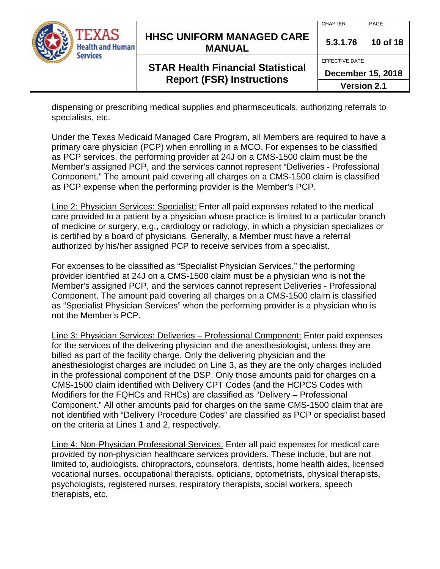| TEXAS<br><b>Health and Human</b><br>Services | <b>HHSC UNIFORM MANAGED CARE</b><br><b>MANUAL</b>                            | 5.3.1.76<br>EFFECTIVE DATE                     | 10 of 18 |
|----------------------------------------------|------------------------------------------------------------------------------|------------------------------------------------|----------|
|                                              | <b>STAR Health Financial Statistical</b><br><b>Report (FSR) Instructions</b> | <b>December 15, 2018</b><br><b>Version 2.1</b> |          |

dispensing or prescribing medical supplies and pharmaceuticals, authorizing referrals to specialists, etc.

Under the Texas Medicaid Managed Care Program, all Members are required to have a primary care physician (PCP) when enrolling in a MCO. For expenses to be classified as PCP services, the performing provider at 24J on a CMS-1500 claim must be the Member's assigned PCP, and the services cannot represent "Deliveries - Professional Component." The amount paid covering all charges on a CMS-1500 claim is classified as PCP expense when the performing provider is the Member's PCP.

Line 2: Physician Services: Specialist: Enter all paid expenses related to the medical care provided to a patient by a physician whose practice is limited to a particular branch of medicine or surgery, e.g., cardiology or radiology, in which a physician specializes or is certified by a board of physicians. Generally, a Member must have a referral authorized by his/her assigned PCP to receive services from a specialist.

For expenses to be classified as "Specialist Physician Services," the performing provider identified at 24J on a CMS-1500 claim must be a physician who is not the Member's assigned PCP, and the services cannot represent Deliveries - Professional Component. The amount paid covering all charges on a CMS-1500 claim is classified as "Specialist Physician Services" when the performing provider is a physician who is not the Member's PCP.

Line 3: Physician Services: Deliveries – Professional Component: Enter paid expenses for the services of the delivering physician and the anesthesiologist, unless they are billed as part of the facility charge. Only the delivering physician and the anesthesiologist charges are included on Line 3, as they are the only charges included in the professional component of the DSP. Only those amounts paid for charges on a CMS-1500 claim identified with Delivery CPT Codes (and the HCPCS Codes with Modifiers for the FQHCs and RHCs) are classified as "Delivery – Professional Component." All other amounts paid for charges on the same CMS-1500 claim that are not identified with "Delivery Procedure Codes" are classified as PCP or specialist based on the criteria at Lines 1 and 2, respectively.

Line 4: Non-Physician Professional Services: Enter all paid expenses for medical care provided by non-physician healthcare services providers. These include, but are not limited to, audiologists, chiropractors, counselors, dentists, home health aides, licensed vocational nurses, occupational therapists, opticians, optometrists, physical therapists, psychologists, registered nurses, respiratory therapists, social workers, speech therapists, etc.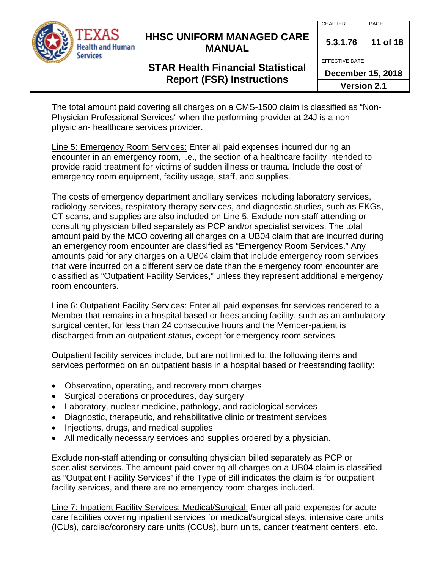

# **HHSC UNIFORM MANAGED CARE MANUAL 5.3.1.76 <sup>11</sup> of 18**

EFFECTIVE DATE

### **STAR Health Financial Statistical Report (FSR) Instructions**

**December 15, 2018**

**Version 2.1**

The total amount paid covering all charges on a CMS-1500 claim is classified as "Non-Physician Professional Services" when the performing provider at 24J is a nonphysician- healthcare services provider.

Line 5: Emergency Room Services: Enter all paid expenses incurred during an encounter in an emergency room, i.e., the section of a healthcare facility intended to provide rapid treatment for victims of sudden illness or trauma. Include the cost of emergency room equipment, facility usage, staff, and supplies.

The costs of emergency department ancillary services including laboratory services, radiology services, respiratory therapy services, and diagnostic studies, such as EKGs, CT scans, and supplies are also included on Line 5. Exclude non-staff attending or consulting physician billed separately as PCP and/or specialist services. The total amount paid by the MCO covering all charges on a UB04 claim that are incurred during an emergency room encounter are classified as "Emergency Room Services." Any amounts paid for any charges on a UB04 claim that include emergency room services that were incurred on a different service date than the emergency room encounter are classified as "Outpatient Facility Services," unless they represent additional emergency room encounters.

Line 6: Outpatient Facility Services: Enter all paid expenses for services rendered to a Member that remains in a hospital based or freestanding facility, such as an ambulatory surgical center, for less than 24 consecutive hours and the Member-patient is discharged from an outpatient status, except for emergency room services.

Outpatient facility services include, but are not limited to, the following items and services performed on an outpatient basis in a hospital based or freestanding facility:

- Observation, operating, and recovery room charges
- Surgical operations or procedures, day surgery
- Laboratory, nuclear medicine, pathology, and radiological services
- Diagnostic, therapeutic, and rehabilitative clinic or treatment services
- Injections, drugs, and medical supplies
- All medically necessary services and supplies ordered by a physician.

Exclude non-staff attending or consulting physician billed separately as PCP or specialist services. The amount paid covering all charges on a UB04 claim is classified as "Outpatient Facility Services" if the Type of Bill indicates the claim is for outpatient facility services, and there are no emergency room charges included.

Line 7: Inpatient Facility Services: Medical/Surgical: Enter all paid expenses for acute care facilities covering inpatient services for medical/surgical stays, intensive care units (ICUs), cardiac/coronary care units (CCUs), burn units, cancer treatment centers, etc.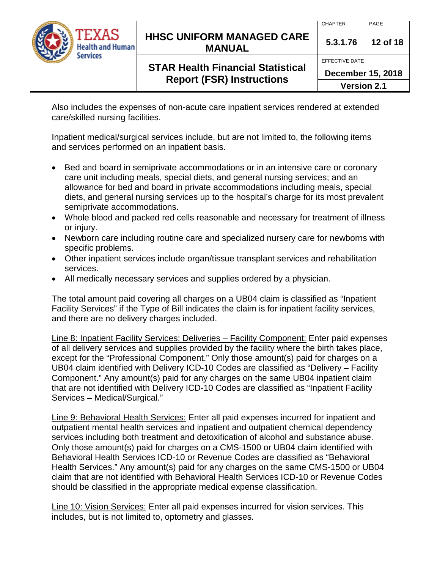

EFFECTIVE DATE

**December 15, 2018**

**Version 2.1**

Also includes the expenses of non-acute care inpatient services rendered at extended care/skilled nursing facilities.

Inpatient medical/surgical services include, but are not limited to, the following items and services performed on an inpatient basis.

- Bed and board in semiprivate accommodations or in an intensive care or coronary care unit including meals, special diets, and general nursing services; and an allowance for bed and board in private accommodations including meals, special diets, and general nursing services up to the hospital's charge for its most prevalent semiprivate accommodations.
- Whole blood and packed red cells reasonable and necessary for treatment of illness or injury.
- Newborn care including routine care and specialized nursery care for newborns with specific problems.
- Other inpatient services include organ/tissue transplant services and rehabilitation services.
- All medically necessary services and supplies ordered by a physician.

The total amount paid covering all charges on a UB04 claim is classified as "Inpatient Facility Services" if the Type of Bill indicates the claim is for inpatient facility services, and there are no delivery charges included.

Line 8: Inpatient Facility Services: Deliveries – Facility Component: Enter paid expenses of all delivery services and supplies provided by the facility where the birth takes place, except for the "Professional Component." Only those amount(s) paid for charges on a UB04 claim identified with Delivery ICD-10 Codes are classified as "Delivery – Facility Component." Any amount(s) paid for any charges on the same UB04 inpatient claim that are not identified with Delivery ICD-10 Codes are classified as "Inpatient Facility Services – Medical/Surgical."

Line 9: Behavioral Health Services: Enter all paid expenses incurred for inpatient and outpatient mental health services and inpatient and outpatient chemical dependency services including both treatment and detoxification of alcohol and substance abuse. Only those amount(s) paid for charges on a CMS-1500 or UB04 claim identified with Behavioral Health Services ICD-10 or Revenue Codes are classified as "Behavioral Health Services." Any amount(s) paid for any charges on the same CMS-1500 or UB04 claim that are not identified with Behavioral Health Services ICD-10 or Revenue Codes should be classified in the appropriate medical expense classification.

Line 10: Vision Services: Enter all paid expenses incurred for vision services. This includes, but is not limited to, optometry and glasses.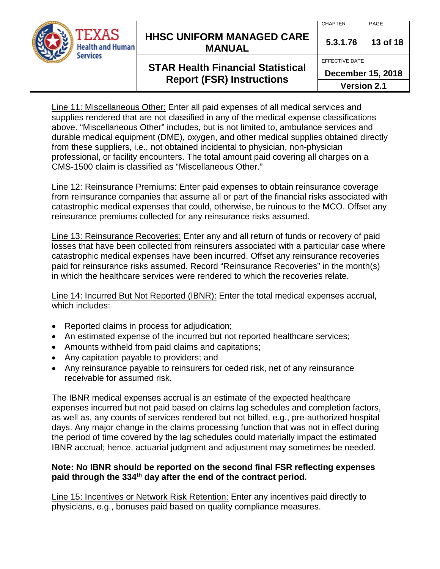

## **HHSC UNIFORM MANAGED CARE MANUAL 5.3.1.76 <sup>13</sup> of 18**

# **STAR Health Financial Statistical Report (FSR) Instructions**

CHAPTER PAGE

EFFECTIVE DATE

**December 15, 2018**

**Version 2.1**

Line 11: Miscellaneous Other: Enter all paid expenses of all medical services and supplies rendered that are not classified in any of the medical expense classifications above. "Miscellaneous Other" includes, but is not limited to, ambulance services and durable medical equipment (DME), oxygen, and other medical supplies obtained directly from these suppliers, i.e., not obtained incidental to physician, non-physician professional, or facility encounters. The total amount paid covering all charges on a CMS-1500 claim is classified as "Miscellaneous Other."

Line 12: Reinsurance Premiums: Enter paid expenses to obtain reinsurance coverage from reinsurance companies that assume all or part of the financial risks associated with catastrophic medical expenses that could, otherwise, be ruinous to the MCO. Offset any reinsurance premiums collected for any reinsurance risks assumed.

Line 13: Reinsurance Recoveries: Enter any and all return of funds or recovery of paid losses that have been collected from reinsurers associated with a particular case where catastrophic medical expenses have been incurred. Offset any reinsurance recoveries paid for reinsurance risks assumed. Record "Reinsurance Recoveries" in the month(s) in which the healthcare services were rendered to which the recoveries relate.

Line 14: Incurred But Not Reported (IBNR): Enter the total medical expenses accrual, which includes:

- Reported claims in process for adjudication;
- An estimated expense of the incurred but not reported healthcare services;
- Amounts withheld from paid claims and capitations;
- Any capitation payable to providers; and
- Any reinsurance payable to reinsurers for ceded risk, net of any reinsurance receivable for assumed risk.

The IBNR medical expenses accrual is an estimate of the expected healthcare expenses incurred but not paid based on claims lag schedules and completion factors, as well as, any counts of services rendered but not billed, e.g., pre-authorized hospital days. Any major change in the claims processing function that was not in effect during the period of time covered by the lag schedules could materially impact the estimated IBNR accrual; hence, actuarial judgment and adjustment may sometimes be needed.

#### **Note: No IBNR should be reported on the second final FSR reflecting expenses paid through the 334th day after the end of the contract period.**

Line 15: Incentives or Network Risk Retention: Enter any incentives paid directly to physicians, e.g., bonuses paid based on quality compliance measures.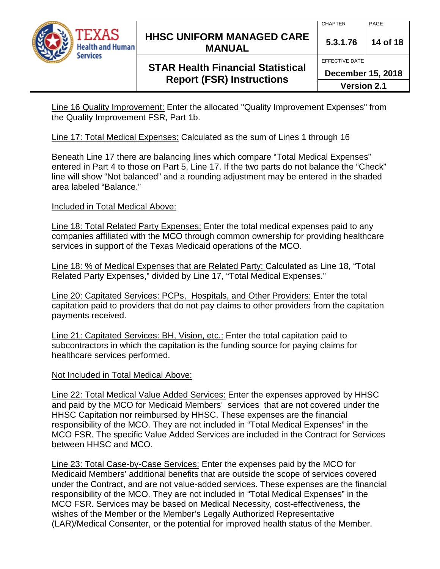

### **HHSC UNIFORM MANAGED CARE MANUAL 5.3.1.76 <sup>14</sup> of 18**

# **STAR Health Financial Statistical Report (FSR) Instructions**

EFFECTIVE DATE

**December 15, 2018**

**Version 2.1**

Line 16 Quality Improvement: Enter the allocated "Quality Improvement Expenses" from the Quality Improvement FSR, Part 1b.

Line 17: Total Medical Expenses: Calculated as the sum of Lines 1 through 16

Beneath Line 17 there are balancing lines which compare "Total Medical Expenses" entered in Part 4 to those on Part 5, Line 17. If the two parts do not balance the "Check" line will show "Not balanced" and a rounding adjustment may be entered in the shaded area labeled "Balance."

## Included in Total Medical Above:

Line 18: Total Related Party Expenses: Enter the total medical expenses paid to any companies affiliated with the MCO through common ownership for providing healthcare services in support of the Texas Medicaid operations of the MCO.

Line 18: % of Medical Expenses that are Related Party: Calculated as Line 18, "Total Related Party Expenses," divided by Line 17, "Total Medical Expenses."

Line 20: Capitated Services: PCPs, Hospitals, and Other Providers: Enter the total capitation paid to providers that do not pay claims to other providers from the capitation payments received.

Line 21: Capitated Services: BH, Vision, etc.: Enter the total capitation paid to subcontractors in which the capitation is the funding source for paying claims for healthcare services performed.

## Not Included in Total Medical Above:

Line 22: Total Medical Value Added Services: Enter the expenses approved by HHSC and paid by the MCO for Medicaid Members' services that are not covered under the HHSC Capitation nor reimbursed by HHSC. These expenses are the financial responsibility of the MCO. They are not included in "Total Medical Expenses" in the MCO FSR. The specific Value Added Services are included in the Contract for Services between HHSC and MCO.

Line 23: Total Case-by-Case Services: Enter the expenses paid by the MCO for Medicaid Members' additional benefits that are outside the scope of services covered under the Contract, and are not value-added services. These expenses are the financial responsibility of the MCO. They are not included in "Total Medical Expenses" in the MCO FSR. Services may be based on Medical Necessity, cost-effectiveness, the wishes of the Member or the Member's Legally Authorized Representative (LAR)/Medical Consenter, or the potential for improved health status of the Member.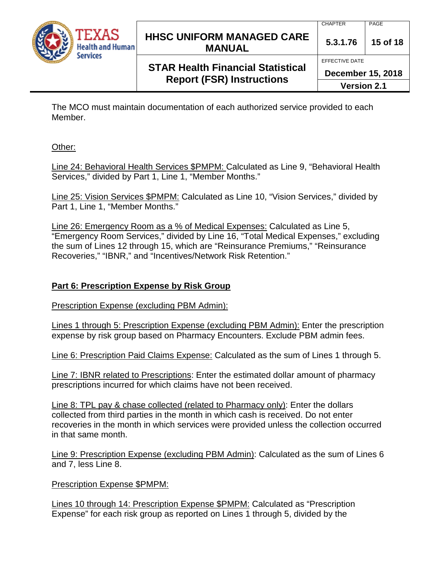

### **HHSC UNIFORM MANAGED CARE MANUAL 5.3.1.76 <sup>15</sup> of 18**

# **STAR Health Financial Statistical Report (FSR) Instructions**

EFFECTIVE DATE

**December 15, 2018**

**Version 2.1**

The MCO must maintain documentation of each authorized service provided to each Member.

Other:

Line 24: Behavioral Health Services \$PMPM: Calculated as Line 9, "Behavioral Health Services," divided by Part 1, Line 1, "Member Months."

Line 25: Vision Services \$PMPM: Calculated as Line 10, "Vision Services," divided by Part 1, Line 1, "Member Months."

Line 26: Emergency Room as a % of Medical Expenses: Calculated as Line 5, "Emergency Room Services," divided by Line 16, "Total Medical Expenses," excluding the sum of Lines 12 through 15, which are "Reinsurance Premiums," "Reinsurance Recoveries," "IBNR," and "Incentives/Network Risk Retention."

### **Part 6: Prescription Expense by Risk Group**

Prescription Expense (excluding PBM Admin):

Lines 1 through 5: Prescription Expense (excluding PBM Admin): Enter the prescription expense by risk group based on Pharmacy Encounters. Exclude PBM admin fees.

Line 6: Prescription Paid Claims Expense: Calculated as the sum of Lines 1 through 5.

Line 7: IBNR related to Prescriptions: Enter the estimated dollar amount of pharmacy prescriptions incurred for which claims have not been received.

Line 8: TPL pay & chase collected (related to Pharmacy only): Enter the dollars collected from third parties in the month in which cash is received. Do not enter recoveries in the month in which services were provided unless the collection occurred in that same month.

Line 9: Prescription Expense (excluding PBM Admin): Calculated as the sum of Lines 6 and 7, less Line 8.

Prescription Expense \$PMPM:

Lines 10 through 14: Prescription Expense \$PMPM: Calculated as "Prescription Expense" for each risk group as reported on Lines 1 through 5, divided by the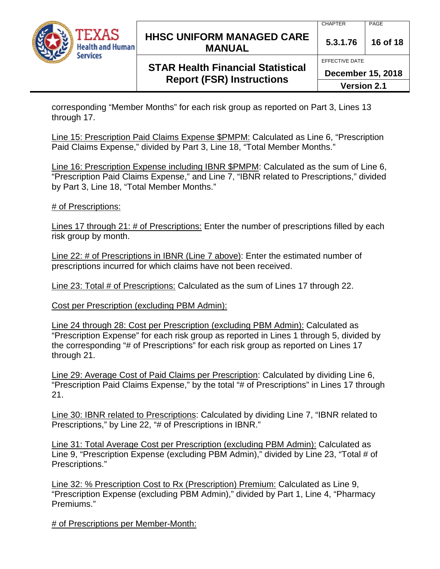

### **HHSC UNIFORM MANAGED CARE MANUAL 5.3.1.76 <sup>16</sup> of 18**

# **STAR Health Financial Statistical Report (FSR) Instructions**

**December 15, 2018**

EFFECTIVE DATE

**Version 2.1**

corresponding "Member Months" for each risk group as reported on Part 3, Lines 13 through 17.

Line 15: Prescription Paid Claims Expense \$PMPM: Calculated as Line 6, "Prescription Paid Claims Expense," divided by Part 3, Line 18, "Total Member Months."

Line 16: Prescription Expense including IBNR \$PMPM: Calculated as the sum of Line 6, "Prescription Paid Claims Expense," and Line 7, "IBNR related to Prescriptions," divided by Part 3, Line 18, "Total Member Months."

# of Prescriptions:

Lines 17 through 21: # of Prescriptions: Enter the number of prescriptions filled by each risk group by month.

Line 22: # of Prescriptions in IBNR (Line 7 above): Enter the estimated number of prescriptions incurred for which claims have not been received.

Line 23: Total # of Prescriptions: Calculated as the sum of Lines 17 through 22.

Cost per Prescription (excluding PBM Admin):

Line 24 through 28: Cost per Prescription (excluding PBM Admin): Calculated as "Prescription Expense" for each risk group as reported in Lines 1 through 5, divided by the corresponding "# of Prescriptions" for each risk group as reported on Lines 17 through 21.

Line 29: Average Cost of Paid Claims per Prescription: Calculated by dividing Line 6, "Prescription Paid Claims Expense," by the total "# of Prescriptions" in Lines 17 through 21.

Line 30: IBNR related to Prescriptions: Calculated by dividing Line 7, "IBNR related to Prescriptions," by Line 22, "# of Prescriptions in IBNR."

Line 31: Total Average Cost per Prescription (excluding PBM Admin): Calculated as Line 9, "Prescription Expense (excluding PBM Admin)," divided by Line 23, "Total # of Prescriptions."

Line 32: % Prescription Cost to Rx (Prescription) Premium: Calculated as Line 9, "Prescription Expense (excluding PBM Admin)," divided by Part 1, Line 4, "Pharmacy Premiums."

# of Prescriptions per Member-Month: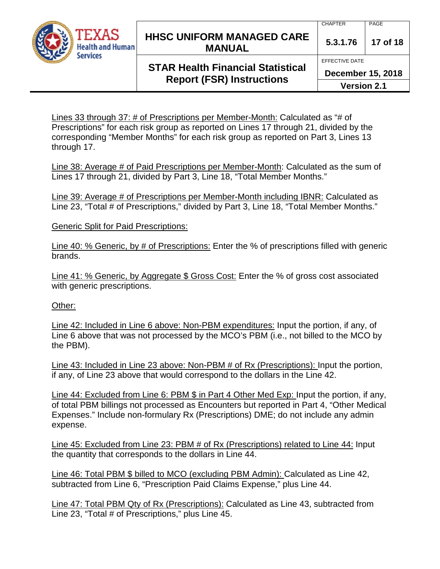

# **HHSC UNIFORM MANAGED CARE MANUAL 5.3.1.76 <sup>17</sup> of 18**

#### CHAPTER PAGE

# **STAR Health Financial Statistical Report (FSR) Instructions**

EFFECTIVE DATE

**December 15, 2018**

**Version 2.1**

Lines 33 through 37: # of Prescriptions per Member-Month: Calculated as "# of Prescriptions" for each risk group as reported on Lines 17 through 21, divided by the corresponding "Member Months" for each risk group as reported on Part 3, Lines 13 through 17.

Line 38: Average # of Paid Prescriptions per Member-Month: Calculated as the sum of Lines 17 through 21, divided by Part 3, Line 18, "Total Member Months."

Line 39: Average # of Prescriptions per Member-Month including IBNR: Calculated as Line 23, "Total # of Prescriptions," divided by Part 3, Line 18, "Total Member Months."

Generic Split for Paid Prescriptions:

Line 40: % Generic, by # of Prescriptions: Enter the % of prescriptions filled with generic brands.

Line 41: % Generic, by Aggregate \$ Gross Cost: Enter the % of gross cost associated with generic prescriptions.

#### Other:

Line 42: Included in Line 6 above: Non-PBM expenditures: Input the portion, if any, of Line 6 above that was not processed by the MCO's PBM (i.e., not billed to the MCO by the PBM).

Line 43: Included in Line 23 above: Non-PBM # of Rx (Prescriptions): Input the portion, if any, of Line 23 above that would correspond to the dollars in the Line 42.

Line 44: Excluded from Line 6: PBM \$ in Part 4 Other Med Exp: Input the portion, if any, of total PBM billings not processed as Encounters but reported in Part 4, "Other Medical Expenses." Include non-formulary Rx (Prescriptions) DME; do not include any admin expense.

Line 45: Excluded from Line 23: PBM # of Rx (Prescriptions) related to Line 44: Input the quantity that corresponds to the dollars in Line 44.

Line 46: Total PBM \$ billed to MCO (excluding PBM Admin): Calculated as Line 42, subtracted from Line 6, "Prescription Paid Claims Expense," plus Line 44.

Line 47: Total PBM Qty of Rx (Prescriptions): Calculated as Line 43, subtracted from Line 23, "Total # of Prescriptions," plus Line 45.